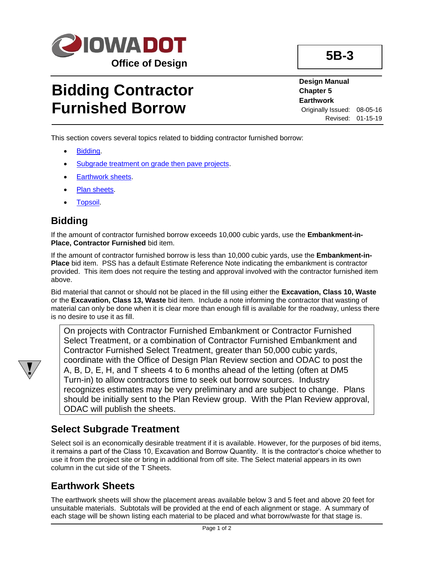

# **Bidding Contractor Furnished Borrow**

**Design Manual Chapter 5 Earthwork** Originally Issued: 08-05-16 Revised: 01-15-19

This section covers several topics related to bidding contractor furnished borrow:

- [Bidding.](#page-0-0)
- [Subgrade treatment on grade then pave projects.](#page-0-1)
- [Earthwork sheets.](#page-0-2)
- [Plan sheets.](#page-1-0)
- [Topsoil.](#page-1-1)

#### <span id="page-0-0"></span>**Bidding**

If the amount of contractor furnished borrow exceeds 10,000 cubic yards, use the **Embankment-in-Place, Contractor Furnished** bid item.

If the amount of contractor furnished borrow is less than 10,000 cubic yards, use the **Embankment-in-Place** bid item. PSS has a default Estimate Reference Note indicating the embankment is contractor provided. This item does not require the testing and approval involved with the contractor furnished item above.

Bid material that cannot or should not be placed in the fill using either the **Excavation, Class 10, Waste** or the **Excavation, Class 13, Waste** bid item. Include a note informing the contractor that wasting of material can only be done when it is clear more than enough fill is available for the roadway, unless there is no desire to use it as fill.

On projects with Contractor Furnished Embankment or Contractor Furnished Select Treatment, or a combination of Contractor Furnished Embankment and Contractor Furnished Select Treatment, greater than 50,000 cubic yards, coordinate with the Office of Design Plan Review section and ODAC to post the A, B, D, E, H, and T sheets 4 to 6 months ahead of the letting (often at DM5 Turn-in) to allow contractors time to seek out borrow sources. Industry recognizes estimates may be very preliminary and are subject to change. Plans should be initially sent to the Plan Review group. With the Plan Review approval, ODAC will publish the sheets.

#### <span id="page-0-1"></span>**Select Subgrade Treatment**

Select soil is an economically desirable treatment if it is available. However, for the purposes of bid items, it remains a part of the Class 10, Excavation and Borrow Quantity. It is the contractor's choice whether to use it from the project site or bring in additional from off site. The Select material appears in its own column in the cut side of the T Sheets.

### <span id="page-0-2"></span>**Earthwork Sheets**

The earthwork sheets will show the placement areas available below 3 and 5 feet and above 20 feet for unsuitable materials. Subtotals will be provided at the end of each alignment or stage. A summary of each stage will be shown listing each material to be placed and what borrow/waste for that stage is.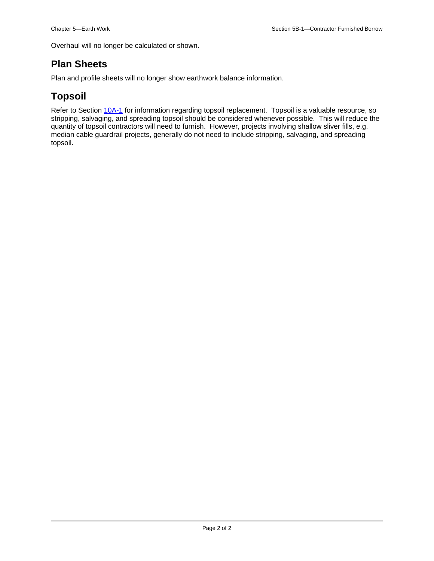Overhaul will no longer be calculated or shown.

#### <span id="page-1-0"></span>**Plan Sheets**

Plan and profile sheets will no longer show earthwork balance information.

### <span id="page-1-1"></span>**Topsoil**

Refer to Section [10A-1](10A-01.pdf) for information regarding topsoil replacement. Topsoil is a valuable resource, so stripping, salvaging, and spreading topsoil should be considered whenever possible. This will reduce the quantity of topsoil contractors will need to furnish. However, projects involving shallow sliver fills, e.g. median cable guardrail projects, generally do not need to include stripping, salvaging, and spreading topsoil.